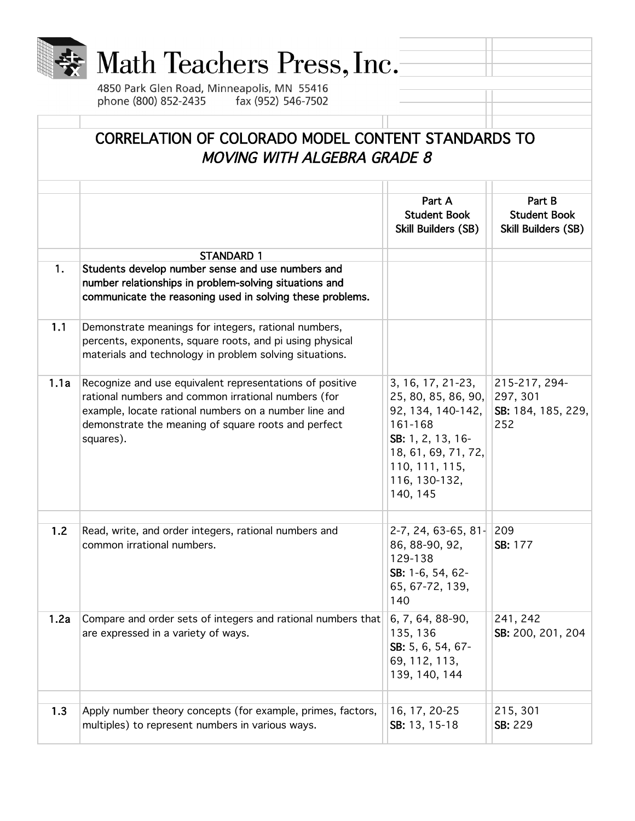

Part B Student Book Skill Builders (SB)

215-217, 294-

252

SB: 184, 185, 229,

| 1.2  | Read, write, and order integers, rational numbers and<br>common irrational numbers.                             | $2-7, 24, 63-65, 81-$<br>86, 88-90, 92,<br>129-138<br>SB: 1-6, 54, 62-<br>65, 67-72, 139,<br>140 | 209<br><b>SB: 177</b>         |
|------|-----------------------------------------------------------------------------------------------------------------|--------------------------------------------------------------------------------------------------|-------------------------------|
| 1.2a | Compare and order sets of integers and rational numbers that<br>are expressed in a variety of ways.             | 6, 7, 64, 88-90,<br>135, 136<br>SB: 5, 6, 54, 67-<br>69, 112, 113,<br>139, 140, 144              | 241, 242<br>SB: 200, 201, 204 |
|      |                                                                                                                 |                                                                                                  |                               |
| 1.3  | Apply number theory concepts (for example, primes, factors,<br>multiples) to represent numbers in various ways. | 16, 17, 20-25<br>SB: 13, 15-18                                                                   | 215, 301<br><b>SB: 229</b>    |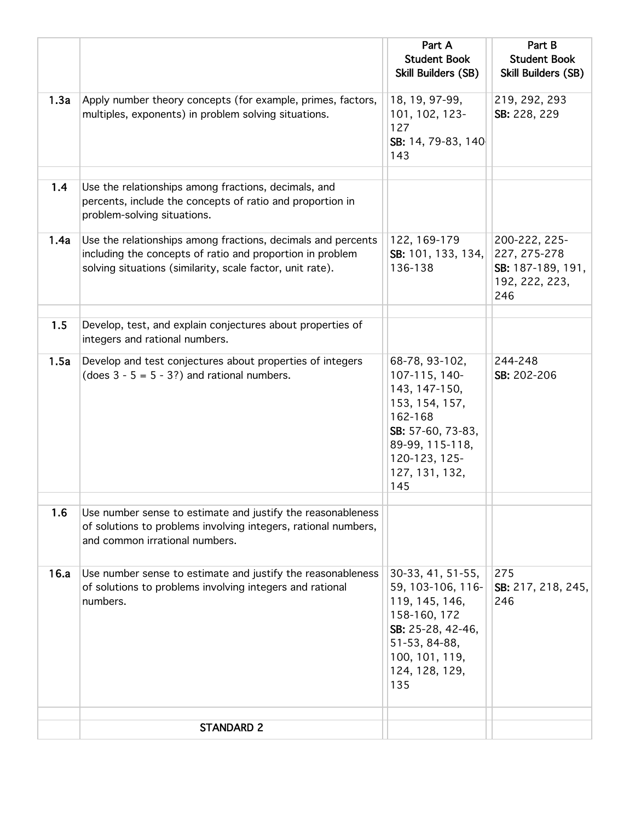|      |                                                                                                                                                                                        | Part A<br><b>Student Book</b>                                                                                                                                   | Part B<br><b>Student Book</b>                                               |
|------|----------------------------------------------------------------------------------------------------------------------------------------------------------------------------------------|-----------------------------------------------------------------------------------------------------------------------------------------------------------------|-----------------------------------------------------------------------------|
|      |                                                                                                                                                                                        | <b>Skill Builders (SB)</b>                                                                                                                                      | Skill Builders (SB)                                                         |
| 1.3a | Apply number theory concepts (for example, primes, factors,<br>multiples, exponents) in problem solving situations.                                                                    | 18, 19, 97-99,<br>101, 102, 123-<br>127<br>SB: 14, 79-83, 140<br>143                                                                                            | 219, 292, 293<br>SB: 228, 229                                               |
| 1.4  | Use the relationships among fractions, decimals, and<br>percents, include the concepts of ratio and proportion in<br>problem-solving situations.                                       |                                                                                                                                                                 |                                                                             |
| 1.4a | Use the relationships among fractions, decimals and percents<br>including the concepts of ratio and proportion in problem<br>solving situations (similarity, scale factor, unit rate). | 122, 169-179<br>SB: 101, 133, 134,<br>136-138                                                                                                                   | 200-222, 225-<br>227, 275-278<br>SB: 187-189, 191,<br>192, 222, 223,<br>246 |
| 1.5  | Develop, test, and explain conjectures about properties of<br>integers and rational numbers.                                                                                           |                                                                                                                                                                 |                                                                             |
| 1.5a | Develop and test conjectures about properties of integers<br>(does $3 - 5 = 5 - 3$ ?) and rational numbers.                                                                            | 68-78, 93-102,<br>107-115, 140-<br>143, 147-150,<br>153, 154, 157,<br>162-168<br>SB: 57-60, 73-83,<br>89-99, 115-118,<br>120-123, 125-<br>127, 131, 132,<br>145 | 244-248<br>SB: 202-206                                                      |
| 1.6  | Use number sense to estimate and justify the reasonableness<br>of solutions to problems involving integers, rational numbers,<br>and common irrational numbers.                        |                                                                                                                                                                 |                                                                             |
| 16.a | Use number sense to estimate and justify the reasonableness<br>of solutions to problems involving integers and rational<br>numbers.                                                    | 30-33, 41, 51-55,<br>59, 103-106, 116-<br>119, 145, 146,<br>158-160, 172<br>SB: 25-28, 42-46,<br>51-53, 84-88,<br>100, 101, 119,<br>124, 128, 129,<br>135       | 275<br>SB: 217, 218, 245,<br>246                                            |
|      | <b>STANDARD 2</b>                                                                                                                                                                      |                                                                                                                                                                 |                                                                             |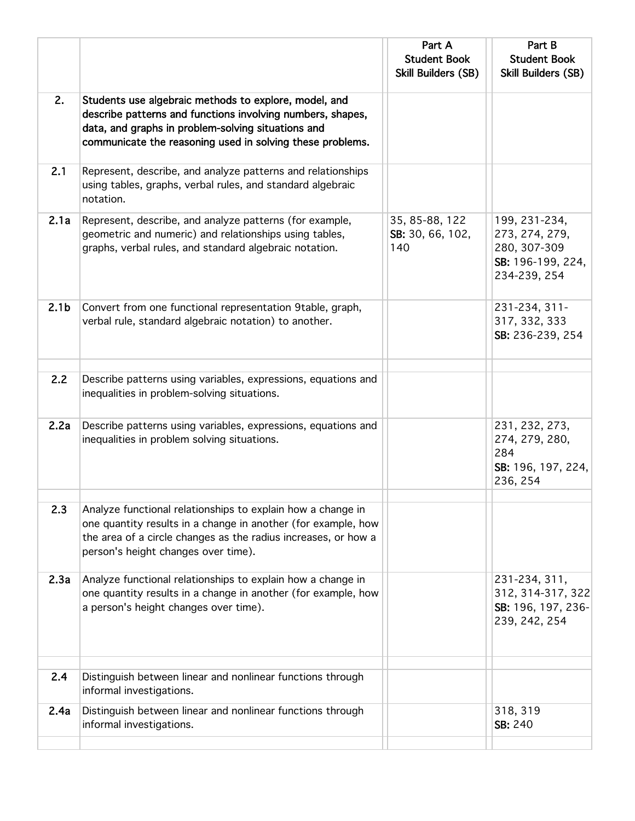|                  |                                                                                                                                                                                                                                        | Part A<br><b>Student Book</b><br>Skill Builders (SB) | Part B<br><b>Student Book</b><br>Skill Builders (SB)                                 |
|------------------|----------------------------------------------------------------------------------------------------------------------------------------------------------------------------------------------------------------------------------------|------------------------------------------------------|--------------------------------------------------------------------------------------|
| 2.               | Students use algebraic methods to explore, model, and<br>describe patterns and functions involving numbers, shapes,<br>data, and graphs in problem-solving situations and<br>communicate the reasoning used in solving these problems. |                                                      |                                                                                      |
| 2.1              | Represent, describe, and analyze patterns and relationships<br>using tables, graphs, verbal rules, and standard algebraic<br>notation.                                                                                                 |                                                      |                                                                                      |
| 2.1a             | Represent, describe, and analyze patterns (for example,<br>geometric and numeric) and relationships using tables,<br>graphs, verbal rules, and standard algebraic notation.                                                            | 35, 85-88, 122<br>SB: 30, 66, 102,<br>140            | 199, 231-234,<br>273, 274, 279,<br>280, 307-309<br>SB: 196-199, 224,<br>234-239, 254 |
| 2.1 <sub>b</sub> | Convert from one functional representation 9table, graph,<br>verbal rule, standard algebraic notation) to another.                                                                                                                     |                                                      | 231-234, 311-<br>317, 332, 333<br>SB: 236-239, 254                                   |
| 2.2              | Describe patterns using variables, expressions, equations and<br>inequalities in problem-solving situations.                                                                                                                           |                                                      |                                                                                      |
| 2.2a             | Describe patterns using variables, expressions, equations and<br>inequalities in problem solving situations.                                                                                                                           |                                                      | 231, 232, 273,<br>274, 279, 280,<br>284<br>SB: 196, 197, 224,<br>236, 254            |
| 2.3              | Analyze functional relationships to explain how a change in<br>one quantity results in a change in another (for example, how<br>the area of a circle changes as the radius increases, or how a<br>person's height changes over time).  |                                                      |                                                                                      |
| 2.3a             | Analyze functional relationships to explain how a change in<br>one quantity results in a change in another (for example, how<br>a person's height changes over time).                                                                  |                                                      | 231-234, 311,<br>312, 314-317, 322<br>SB: 196, 197, 236-<br>239, 242, 254            |
| 2.4              | Distinguish between linear and nonlinear functions through<br>informal investigations.                                                                                                                                                 |                                                      |                                                                                      |
| 2.4a             | Distinguish between linear and nonlinear functions through<br>informal investigations.                                                                                                                                                 |                                                      | 318, 319<br>SB: 240                                                                  |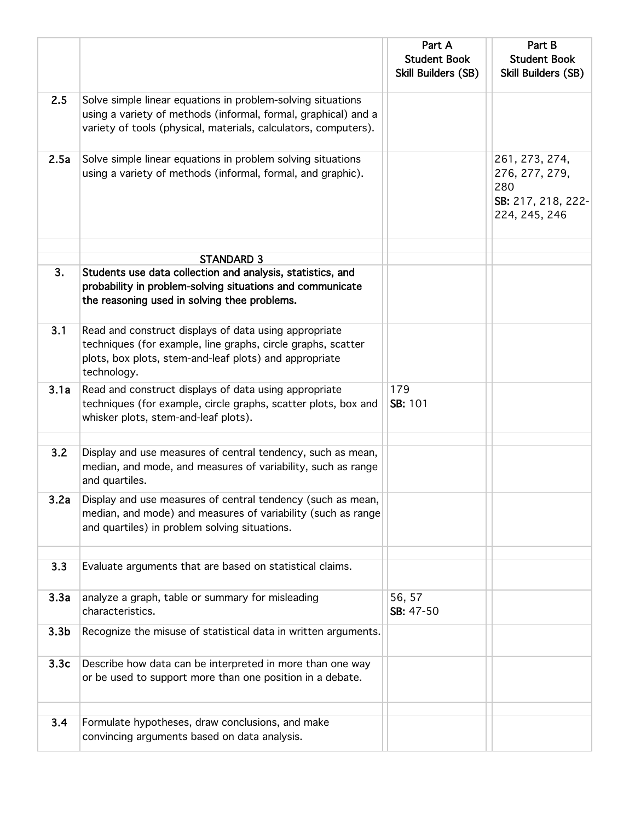|                  |                                                                                                                                                                                                  | Part A<br><b>Student Book</b><br><b>Skill Builders (SB)</b> | Part B<br><b>Student Book</b><br>Skill Builders (SB)                           |
|------------------|--------------------------------------------------------------------------------------------------------------------------------------------------------------------------------------------------|-------------------------------------------------------------|--------------------------------------------------------------------------------|
| 2.5              | Solve simple linear equations in problem-solving situations<br>using a variety of methods (informal, formal, graphical) and a<br>variety of tools (physical, materials, calculators, computers). |                                                             |                                                                                |
| 2.5a             | Solve simple linear equations in problem solving situations<br>using a variety of methods (informal, formal, and graphic).                                                                       |                                                             | 261, 273, 274,<br>276, 277, 279,<br>280<br>SB: 217, 218, 222-<br>224, 245, 246 |
|                  |                                                                                                                                                                                                  |                                                             |                                                                                |
| 3.               | <b>STANDARD 3</b><br>Students use data collection and analysis, statistics, and<br>probability in problem-solving situations and communicate<br>the reasoning used in solving thee problems.     |                                                             |                                                                                |
| 3.1              | Read and construct displays of data using appropriate<br>techniques (for example, line graphs, circle graphs, scatter<br>plots, box plots, stem-and-leaf plots) and appropriate<br>technology.   |                                                             |                                                                                |
| 3.1a             | Read and construct displays of data using appropriate<br>techniques (for example, circle graphs, scatter plots, box and<br>whisker plots, stem-and-leaf plots).                                  | 179<br>SB: 101                                              |                                                                                |
| 3.2              | Display and use measures of central tendency, such as mean,<br>median, and mode, and measures of variability, such as range<br>and quartiles.                                                    |                                                             |                                                                                |
| 3.2a             | Display and use measures of central tendency (such as mean,<br>median, and mode) and measures of variability (such as range<br>and quartiles) in problem solving situations.                     |                                                             |                                                                                |
| 3.3              | Evaluate arguments that are based on statistical claims.                                                                                                                                         |                                                             |                                                                                |
| 3.3a             | analyze a graph, table or summary for misleading<br>characteristics.                                                                                                                             | 56, 57<br>SB: 47-50                                         |                                                                                |
| 3.3 <sub>b</sub> | Recognize the misuse of statistical data in written arguments.                                                                                                                                   |                                                             |                                                                                |
| 3.3 <sub>c</sub> | Describe how data can be interpreted in more than one way<br>or be used to support more than one position in a debate.                                                                           |                                                             |                                                                                |
| 3.4              | Formulate hypotheses, draw conclusions, and make<br>convincing arguments based on data analysis.                                                                                                 |                                                             |                                                                                |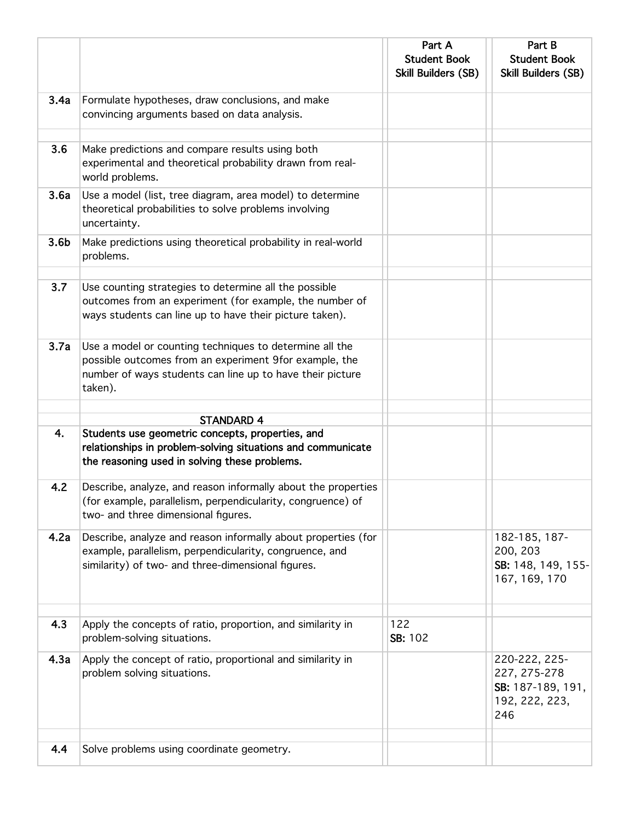|                  |                                                                                                                                                                                           | Part A<br><b>Student Book</b><br>Skill Builders (SB) | Part B<br><b>Student Book</b><br>Skill Builders (SB)                        |
|------------------|-------------------------------------------------------------------------------------------------------------------------------------------------------------------------------------------|------------------------------------------------------|-----------------------------------------------------------------------------|
| 3.4a             | Formulate hypotheses, draw conclusions, and make<br>convincing arguments based on data analysis.                                                                                          |                                                      |                                                                             |
| 3.6              | Make predictions and compare results using both<br>experimental and theoretical probability drawn from real-<br>world problems.                                                           |                                                      |                                                                             |
| 3.6a             | Use a model (list, tree diagram, area model) to determine<br>theoretical probabilities to solve problems involving<br>uncertainty.                                                        |                                                      |                                                                             |
| 3.6 <sub>b</sub> | Make predictions using theoretical probability in real-world<br>problems.                                                                                                                 |                                                      |                                                                             |
| 3.7              | Use counting strategies to determine all the possible<br>outcomes from an experiment (for example, the number of<br>ways students can line up to have their picture taken).               |                                                      |                                                                             |
| 3.7a             | Use a model or counting techniques to determine all the<br>possible outcomes from an experiment 9for example, the<br>number of ways students can line up to have their picture<br>taken). |                                                      |                                                                             |
|                  | <b>STANDARD 4</b>                                                                                                                                                                         |                                                      |                                                                             |
| 4.               | Students use geometric concepts, properties, and<br>relationships in problem-solving situations and communicate<br>the reasoning used in solving these problems.                          |                                                      |                                                                             |
| 4.2              | Describe, analyze, and reason informally about the properties<br>(for example, parallelism, perpendicularity, congruence) of<br>two- and three dimensional figures.                       |                                                      |                                                                             |
| 4.2a             | Describe, analyze and reason informally about properties (for<br>example, parallelism, perpendicularity, congruence, and<br>similarity) of two- and three-dimensional figures.            |                                                      | 182-185, 187-<br>200, 203<br>SB: 148, 149, 155-<br>167, 169, 170            |
| 4.3              | Apply the concepts of ratio, proportion, and similarity in<br>problem-solving situations.                                                                                                 | 122<br>SB: 102                                       |                                                                             |
| 4.3a             | Apply the concept of ratio, proportional and similarity in<br>problem solving situations.                                                                                                 |                                                      | 220-222, 225-<br>227, 275-278<br>SB: 187-189, 191,<br>192, 222, 223,<br>246 |
| 4.4              | Solve problems using coordinate geometry.                                                                                                                                                 |                                                      |                                                                             |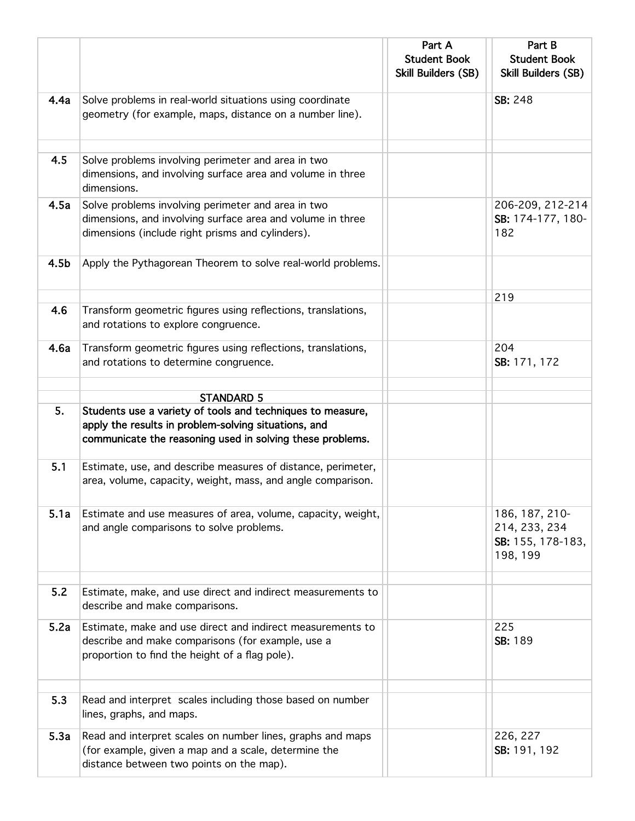|                  |                                                                                                                                                                                 | Part A<br><b>Student Book</b><br><b>Skill Builders (SB)</b> | Part B<br><b>Student Book</b><br>Skill Builders (SB)             |
|------------------|---------------------------------------------------------------------------------------------------------------------------------------------------------------------------------|-------------------------------------------------------------|------------------------------------------------------------------|
| 4.4a             | Solve problems in real-world situations using coordinate<br>geometry (for example, maps, distance on a number line).                                                            |                                                             | SB: 248                                                          |
| 4.5              | Solve problems involving perimeter and area in two<br>dimensions, and involving surface area and volume in three<br>dimensions.                                                 |                                                             |                                                                  |
| 4.5a             | Solve problems involving perimeter and area in two<br>dimensions, and involving surface area and volume in three<br>dimensions (include right prisms and cylinders).            |                                                             | 206-209, 212-214<br>SB: 174-177, 180-<br>182                     |
| 4.5 <sub>b</sub> | Apply the Pythagorean Theorem to solve real-world problems.                                                                                                                     |                                                             |                                                                  |
| 4.6              | Transform geometric figures using reflections, translations,<br>and rotations to explore congruence.                                                                            |                                                             | 219                                                              |
| 4.6a             | Transform geometric figures using reflections, translations,<br>and rotations to determine congruence.                                                                          |                                                             | 204<br>SB: 171, 172                                              |
|                  | <b>STANDARD 5</b>                                                                                                                                                               |                                                             |                                                                  |
| 5.               | Students use a variety of tools and techniques to measure,<br>apply the results in problem-solving situations, and<br>communicate the reasoning used in solving these problems. |                                                             |                                                                  |
| 5.1              | Estimate, use, and describe measures of distance, perimeter,<br>area, volume, capacity, weight, mass, and angle comparison.                                                     |                                                             |                                                                  |
| 5.1a             | Estimate and use measures of area, volume, capacity, weight,<br>and angle comparisons to solve problems.                                                                        |                                                             | 186, 187, 210-<br>214, 233, 234<br>SB: 155, 178-183,<br>198, 199 |
| 5.2              | Estimate, make, and use direct and indirect measurements to<br>describe and make comparisons.                                                                                   |                                                             |                                                                  |
| 5.2a             | Estimate, make and use direct and indirect measurements to<br>describe and make comparisons (for example, use a<br>proportion to find the height of a flag pole).               |                                                             | 225<br>SB: 189                                                   |
| 5.3              | Read and interpret scales including those based on number<br>lines, graphs, and maps.                                                                                           |                                                             |                                                                  |
| 5.3a             | Read and interpret scales on number lines, graphs and maps<br>(for example, given a map and a scale, determine the<br>distance between two points on the map).                  |                                                             | 226, 227<br>SB: 191, 192                                         |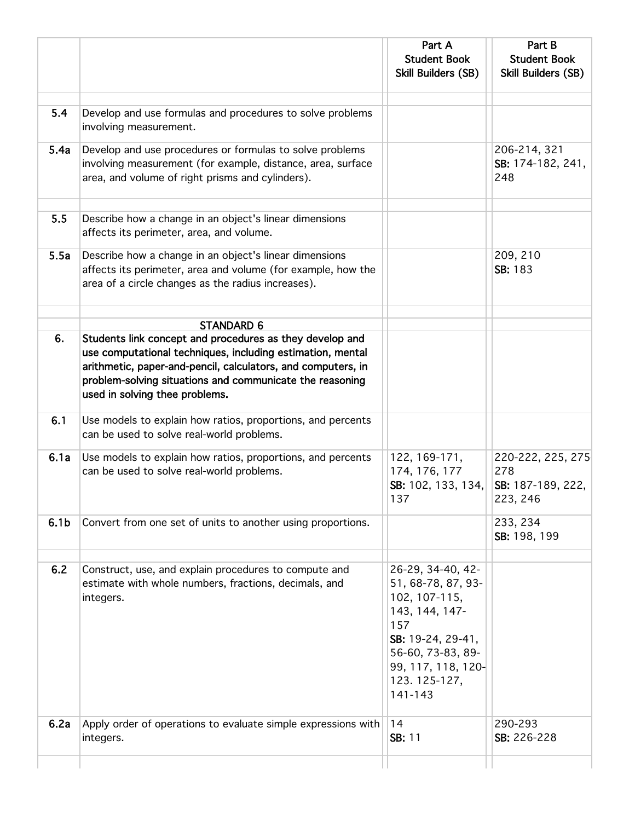|                  |                                                                                                                                                                                                                                                                                                           | Part A<br><b>Student Book</b><br>Skill Builders (SB)                                                                                                                         | Part B<br><b>Student Book</b><br><b>Skill Builders (SB)</b> |
|------------------|-----------------------------------------------------------------------------------------------------------------------------------------------------------------------------------------------------------------------------------------------------------------------------------------------------------|------------------------------------------------------------------------------------------------------------------------------------------------------------------------------|-------------------------------------------------------------|
| 5.4              | Develop and use formulas and procedures to solve problems<br>involving measurement.                                                                                                                                                                                                                       |                                                                                                                                                                              |                                                             |
| 5.4a             | Develop and use procedures or formulas to solve problems<br>involving measurement (for example, distance, area, surface<br>area, and volume of right prisms and cylinders).                                                                                                                               |                                                                                                                                                                              | 206-214, 321<br>SB: 174-182, 241,<br>248                    |
| 5.5              | Describe how a change in an object's linear dimensions<br>affects its perimeter, area, and volume.                                                                                                                                                                                                        |                                                                                                                                                                              |                                                             |
| 5.5a             | Describe how a change in an object's linear dimensions<br>affects its perimeter, area and volume (for example, how the<br>area of a circle changes as the radius increases).                                                                                                                              |                                                                                                                                                                              | 209, 210<br>SB: 183                                         |
| 6.               | <b>STANDARD 6</b><br>Students link concept and procedures as they develop and<br>use computational techniques, including estimation, mental<br>arithmetic, paper-and-pencil, calculators, and computers, in<br>problem-solving situations and communicate the reasoning<br>used in solving thee problems. |                                                                                                                                                                              |                                                             |
| 6.1              | Use models to explain how ratios, proportions, and percents<br>can be used to solve real-world problems.                                                                                                                                                                                                  |                                                                                                                                                                              |                                                             |
| 6.1a             | Use models to explain how ratios, proportions, and percents<br>can be used to solve real-world problems.                                                                                                                                                                                                  | 122, 169-171,<br>174, 176, 177<br>SB: 102, 133, 134,<br>137                                                                                                                  | 220-222, 225, 275<br>278<br>SB: 187-189, 222,<br>223, 246   |
| 6.1 <sub>b</sub> | Convert from one set of units to another using proportions.                                                                                                                                                                                                                                               |                                                                                                                                                                              | 233, 234<br>SB: 198, 199                                    |
| 6.2              | Construct, use, and explain procedures to compute and<br>estimate with whole numbers, fractions, decimals, and<br>integers.                                                                                                                                                                               | 26-29, 34-40, 42-<br>51, 68-78, 87, 93-<br>102, 107-115,<br>143, 144, 147-<br>157<br>SB: 19-24, 29-41,<br>56-60, 73-83, 89-<br>99, 117, 118, 120-<br>123.125-127,<br>141-143 |                                                             |
| 6.2a             | Apply order of operations to evaluate simple expressions with<br>integers.                                                                                                                                                                                                                                | 14<br>SB: 11                                                                                                                                                                 | 290-293<br>SB: 226-228                                      |